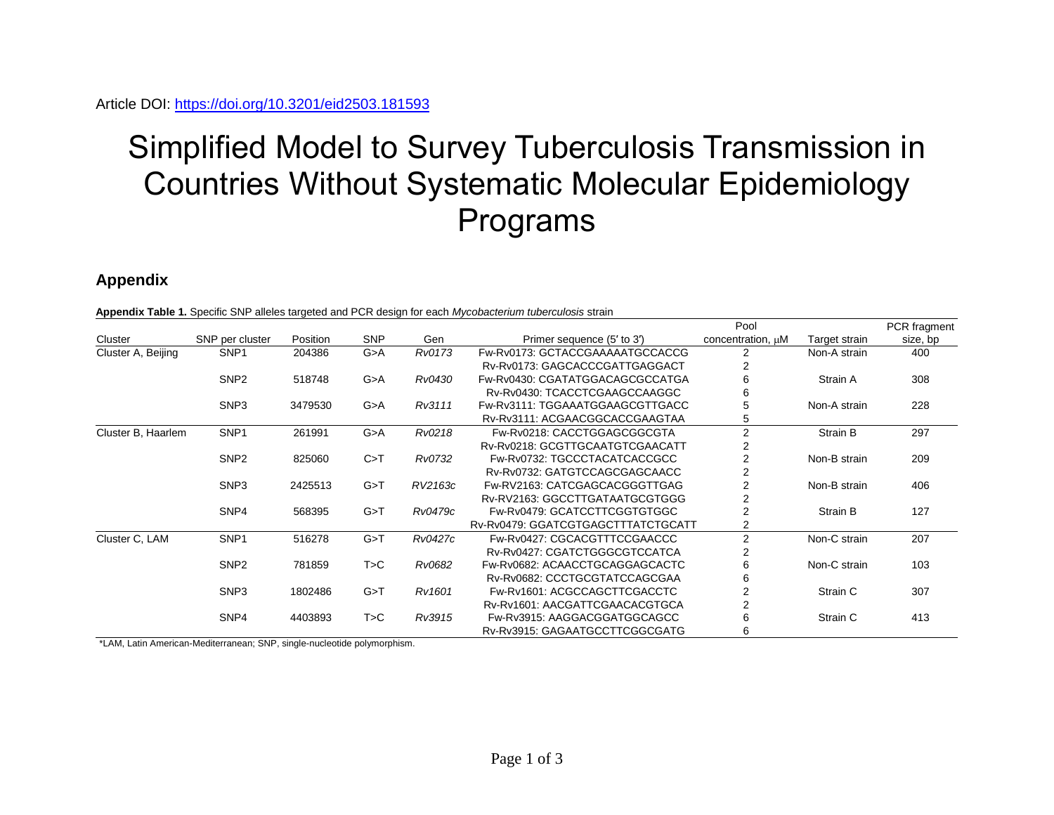## Simplified Model to Survey Tuberculosis Transmission in Countries Without Systematic Molecular Epidemiology Programs

## **Appendix**

|                    |                  |          |            |         |                                    | Pool                   |               | PCR fragment |
|--------------------|------------------|----------|------------|---------|------------------------------------|------------------------|---------------|--------------|
| Cluster            | SNP per cluster  | Position | <b>SNP</b> | Gen     | Primer sequence (5' to 3')         | concentration, $\mu$ M | Target strain | size, bp     |
| Cluster A, Beijing | SNP <sub>1</sub> | 204386   | G > A      | Rv0173  | Fw-Rv0173: GCTACCGAAAAATGCCACCG    | 2                      | Non-A strain  | 400          |
|                    |                  |          |            |         | Rv-Rv0173: GAGCACCCGATTGAGGACT     | 2                      |               |              |
|                    | SNP <sub>2</sub> | 518748   | G > A      | Rv0430  | Fw-Rv0430: CGATATGGACAGCGCCATGA    | 6                      | Strain A      | 308          |
|                    |                  |          |            |         | Rv-Rv0430: TCACCTCGAAGCCAAGGC      | 6                      |               |              |
|                    | SNP <sub>3</sub> | 3479530  | G>A        | Rv3111  | Fw-Rv3111: TGGAAATGGAAGCGTTGACC    | 5                      | Non-A strain  | 228          |
|                    |                  |          |            |         | Rv-Rv3111: ACGAACGGCACCGAAGTAA     | 5                      |               |              |
| Cluster B, Haarlem | SNP <sub>1</sub> | 261991   | G > A      | Rv0218  | Fw-Rv0218: CACCTGGAGCGGCGTA        | $\overline{2}$         | Strain B      | 297          |
|                    |                  |          |            |         | Rv-Rv0218: GCGTTGCAATGTCGAACATT    | 2                      |               |              |
|                    | SNP <sub>2</sub> | 825060   | C > T      | Rv0732  | Fw-Rv0732: TGCCCTACATCACCGCC       | $\overline{2}$         | Non-B strain  | 209          |
|                    |                  |          |            |         | Rv-Rv0732: GATGTCCAGCGAGCAACC      | $\overline{2}$         |               |              |
|                    | SNP <sub>3</sub> | 2425513  | G > T      | RV2163c | Fw-RV2163: CATCGAGCACGGGTTGAG      | 2                      | Non-B strain  | 406          |
|                    |                  |          |            |         | Rv-RV2163: GGCCTTGATAATGCGTGGG     | 2                      |               |              |
|                    | SNP4             | 568395   | G > T      | Rv0479c | Fw-Rv0479: GCATCCTTCGGTGTGGC       | $\overline{c}$         | Strain B      | 127          |
|                    |                  |          |            |         | Rv-Rv0479: GGATCGTGAGCTTTATCTGCATT | 2                      |               |              |
| Cluster C, LAM     | SNP <sub>1</sub> | 516278   | G > T      | Rv0427c | Fw-Rv0427: CGCACGTTTCCGAACCC       | 2                      | Non-C strain  | 207          |
|                    |                  |          |            |         | Rv-Rv0427: CGATCTGGGCGTCCATCA      | 2                      |               |              |
|                    | SNP <sub>2</sub> | 781859   | T>C        | Rv0682  | Fw-Rv0682: ACAACCTGCAGGAGCACTC     | 6                      | Non-C strain  | 103          |
|                    |                  |          |            |         | Rv-Rv0682: CCCTGCGTATCCAGCGAA      | 6                      |               |              |
|                    | SNP <sub>3</sub> | 1802486  | G > T      | Rv1601  | Fw-Ry1601: ACGCCAGCTTCGACCTC       | $\overline{2}$         | Strain C      | 307          |
|                    |                  |          |            |         | Rv-Rv1601: AACGATTCGAACACGTGCA     | 2                      |               |              |
|                    | SNP4             | 4403893  | T > C      | Rv3915  | Fw-Rv3915: AAGGACGGATGGCAGCC       | 6                      | Strain C      | 413          |
|                    |                  |          |            |         | Rv-Rv3915: GAGAATGCCTTCGGCGATG     | 6                      |               |              |

\*LAM, Latin American-Mediterranean; SNP, single-nucleotide polymorphism.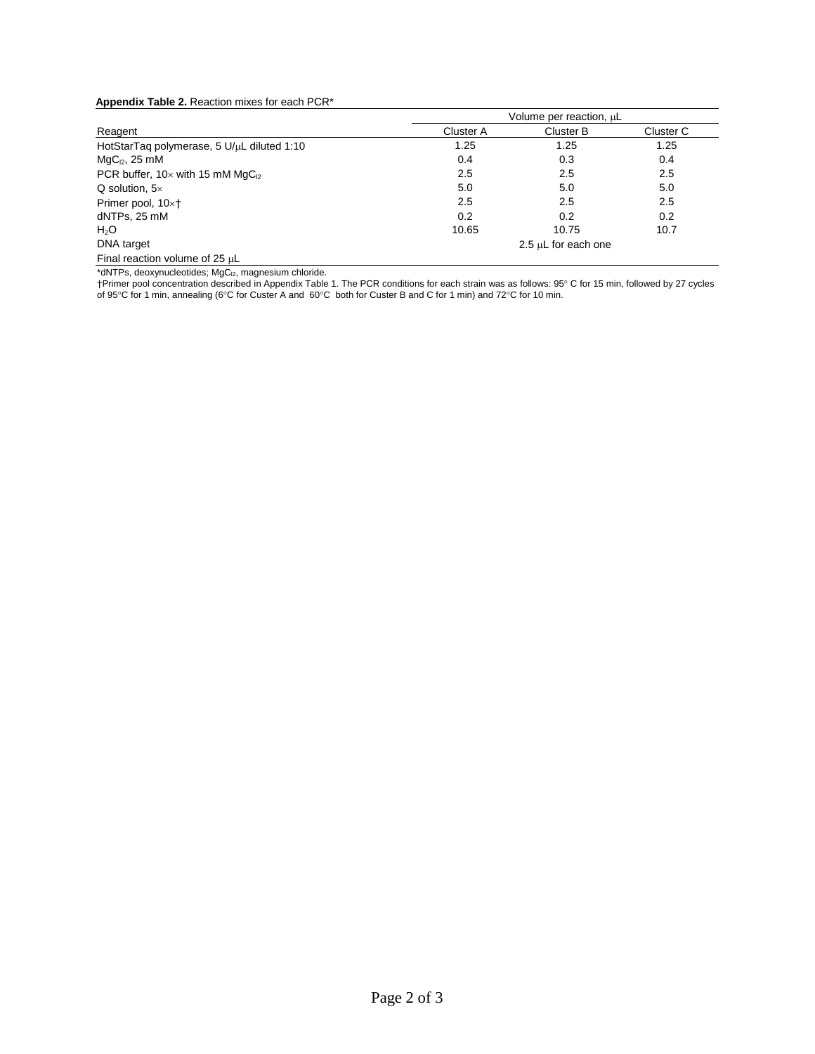## **Appendix Table 2.** Reaction mixes for each PCR\*

|                                                      | Volume per reaction, uL |                     |           |  |  |  |  |  |  |  |  |
|------------------------------------------------------|-------------------------|---------------------|-----------|--|--|--|--|--|--|--|--|
| Reagent                                              | Cluster A               | Cluster B           | Cluster C |  |  |  |  |  |  |  |  |
| HotStarTaq polymerase, 5 U/µL diluted 1:10           | 1.25                    | 1.25                | 1.25      |  |  |  |  |  |  |  |  |
| $MqC12$ , 25 mM                                      | 0.4                     | 0.3                 | 0.4       |  |  |  |  |  |  |  |  |
| PCR buffer, $10 \times$ with 15 mM MgC <sub>12</sub> | 2.5                     | 2.5                 | 2.5       |  |  |  |  |  |  |  |  |
| $Q$ solution, $5 \times$                             | 5.0                     | 5.0                 | 5.0       |  |  |  |  |  |  |  |  |
| Primer pool, 10׆                                     | 2.5                     | 2.5                 | 2.5       |  |  |  |  |  |  |  |  |
| dNTPs, 25 mM                                         | 0.2                     | 0.2                 | 0.2       |  |  |  |  |  |  |  |  |
| H <sub>2</sub> O                                     | 10.65                   | 10.75               | 10.7      |  |  |  |  |  |  |  |  |
| DNA target                                           |                         | 2.5 µL for each one |           |  |  |  |  |  |  |  |  |
| Final reaction volume of 25 µL                       |                         |                     |           |  |  |  |  |  |  |  |  |

 $*$ dNTPs, deoxynucleotides; MgC $_{12}$ , magnesium chloride.

†Primer pool concentration described in Appendix Table 1. The PCR conditions for each strain was as follows: 95° C for 15 min, followed by 27 cycles of 95°C for 1 min, annealing (6°C for Custer A and 60°C both for Custer B and C for 1 min) and 72°C for 10 min.